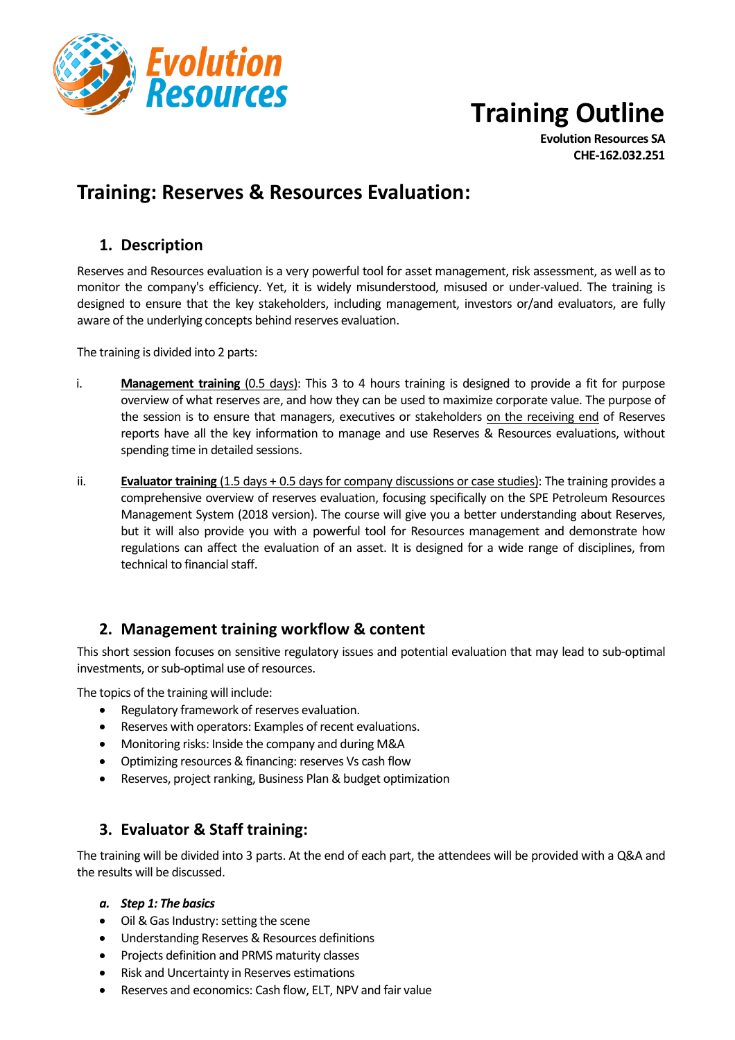

# **Training Outline**

**Evolution Resources SA CHE-162.032.251**

# **Training: Reserves & Resources Evaluation:**

## **1. Description**

Reserves and Resources evaluation is a very powerful tool for asset management, risk assessment, as well as to monitor the company's efficiency. Yet, it is widely misunderstood, misused or under-valued. The training is designed to ensure that the key stakeholders, including management, investors or/and evaluators, are fully aware of the underlying concepts behind reserves evaluation.

The training is divided into 2 parts:

- i. **Management training** (0.5 days): This 3 to 4 hours training is designed to provide a fit for purpose overview of what reserves are, and how they can be used to maximize corporate value. The purpose of the session is to ensure that managers, executives or stakeholders on the receiving end of Reserves reports have all the key information to manage and use Reserves & Resources evaluations, without spending time in detailed sessions.
- ii. **Evaluator training** (1.5 days + 0.5 days for company discussions or case studies): The training provides a comprehensive overview of reserves evaluation, focusing specifically on the SPE Petroleum Resources Management System (2018 version). The course will give you a better understanding about Reserves, but it will also provide you with a powerful tool for Resources management and demonstrate how regulations can affect the evaluation of an asset. It is designed for a wide range of disciplines, from technical to financial staff.

#### **2. Management training workflow & content**

This short session focuses on sensitive regulatory issues and potential evaluation that may lead to sub-optimal investments, or sub-optimal use of resources.

The topics of the training will include:

- Regulatory framework of reserves evaluation.
- Reserves with operators: Examples of recent evaluations.
- Monitoring risks: Inside the company and during M&A
- Optimizing resources & financing: reserves Vs cash flow
- Reserves, project ranking, Business Plan & budget optimization

## **3. Evaluator & Staff training:**

The training will be divided into 3 parts. At the end of each part, the attendees will be provided with a Q&A and the results will be discussed.

#### *a. Step 1: The basics*

- Oil & Gas Industry: setting the scene
- Understanding Reserves & Resources definitions
- Projects definition and PRMS maturity classes
- Risk and Uncertainty in Reserves estimations
- Reserves and economics: Cash flow, ELT, NPV and fair value